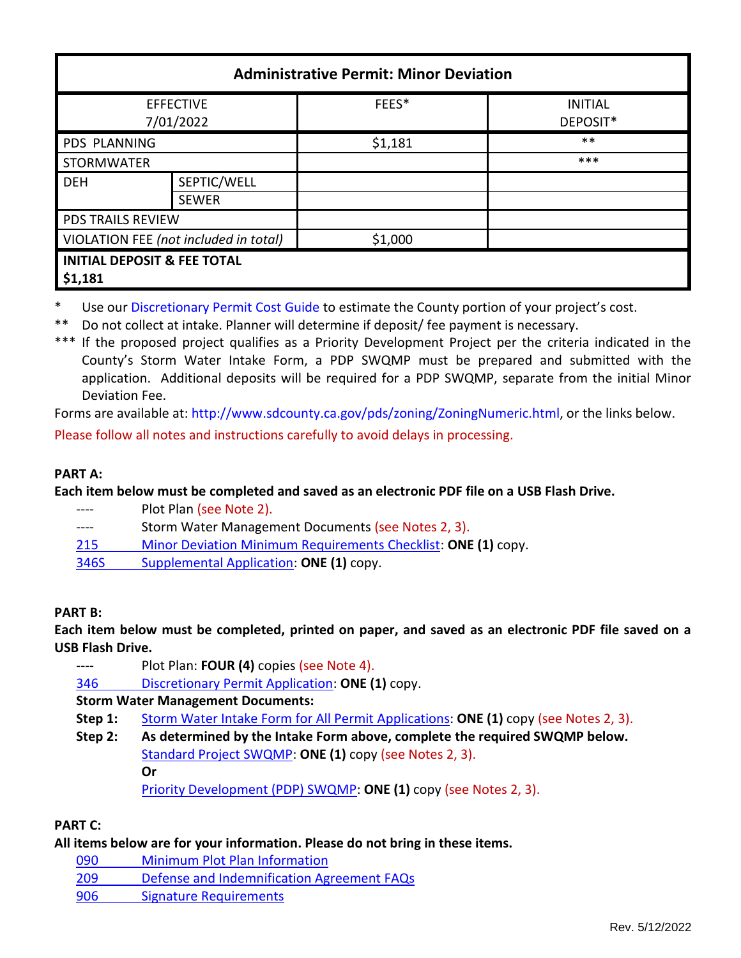| <b>Administrative Permit: Minor Deviation</b>     |                             |         |                            |  |  |
|---------------------------------------------------|-----------------------------|---------|----------------------------|--|--|
| <b>EFFECTIVE</b><br>7/01/2022                     |                             | FEES*   | <b>INITIAL</b><br>DEPOSIT* |  |  |
| PDS PLANNING                                      |                             | \$1,181 | $***$                      |  |  |
| <b>STORMWATER</b>                                 |                             |         | ***                        |  |  |
| <b>DEH</b>                                        | SEPTIC/WELL<br><b>SEWER</b> |         |                            |  |  |
| <b>PDS TRAILS REVIEW</b>                          |                             |         |                            |  |  |
| VIOLATION FEE (not included in total)             |                             | \$1,000 |                            |  |  |
| <b>INITIAL DEPOSIT &amp; FEE TOTAL</b><br>\$1,181 |                             |         |                            |  |  |

- Use our [Discretionary Permit Cost Guide](http://www.sandiegocounty.gov/content/dam/sdc/pds/docs/Discretionary_Permit_Cost_Guide.xlsx) to estimate the County portion of your project's cost.
- \*\* Do not collect at intake. Planner will determine if deposit/ fee payment is necessary.
- \*\*\* If the proposed project qualifies as a Priority Development Project per the criteria indicated in the County's Storm Water Intake Form, a PDP SWQMP must be prepared and submitted with the application. Additional deposits will be required for a PDP SWQMP, separate from the initial Minor Deviation Fee.

Forms are available at: [http://www.sdcounty.ca.gov/pds/zoning/ZoningNumeric.html,](http://www.sdcounty.ca.gov/pds/zoning/ZoningNumeric.html) or the links below. Please follow all notes and instructions carefully to avoid delays in processing.

### **PART A:**

**Each item below must be completed and saved as an electronic PDF file on a USB Flash Drive.**

- ---- Plot Plan (see Note 2).
- ---- Storm Water Management Documents (see Notes 2, 3).
- 215 [Minor Deviation Minimum Requirements Checklist:](https://www.sandiegocounty.gov/content/dam/sdc/pds/zoning/formfields/PDS-PLN-215.pdf) **ONE (1)** copy.
- [346S Supplemental Application:](https://www.sandiegocounty.gov/content/dam/sdc/pds/zoning/formfields/PDS-PLN-346S.pdf) **ONE (1)** copy.

#### **PART B:**

**Each item below must be completed, printed on paper, and saved as an electronic PDF file saved on a USB Flash Drive.**

- ---- Plot Plan: **FOUR (4)** copies (see Note 4).
- 346 [Discretionary Permit Application:](https://www.sandiegocounty.gov/content/dam/sdc/pds/zoning/formfields/PDS-PLN-346.pdf) **ONE (1)** copy.

# **Storm Water Management Documents:**

- **Step 1:** [Storm Water Intake Form for All Permit Applications:](http://www.sandiegocounty.gov/content/dam/sdc/pds/zoning/formfields/SWQMP-Intake-Form.pdf) **ONE (1)** copy (see Notes 2, 3).
- **Step 2: As determined by the Intake Form above, complete the required SWQMP below.** [Standard Project SWQMP:](http://www.sandiegocounty.gov/content/dam/sdc/pds/zoning/formfields/SWQMP-Standard.pdf) **ONE (1)** copy (see Notes 2, 3). **Or**

[Priority Development \(PDP\) SWQMP:](https://www.sandiegocounty.gov/content/sdc/dpw/watersheds/DevelopmentandConstruction/BMP_Design_Manual.html) **ONE (1)** copy (see Notes 2, 3).

# **PART C:**

#### **All items below are for your information. Please do not bring in these items.**

- 090 [Minimum Plot Plan Information](http://www.sdcounty.ca.gov/pds/docs/pds090.pdf)
- 209 [Defense and Indemnification Agreement FAQs](https://www.sandiegocounty.gov/content/dam/sdc/pds/zoning/formfields/PDS-PLN-209.pdf)
- [906 Signature Requirements](https://www.sandiegocounty.gov/content/dam/sdc/pds/zoning/formfields/PDS-PLN-906.pdf)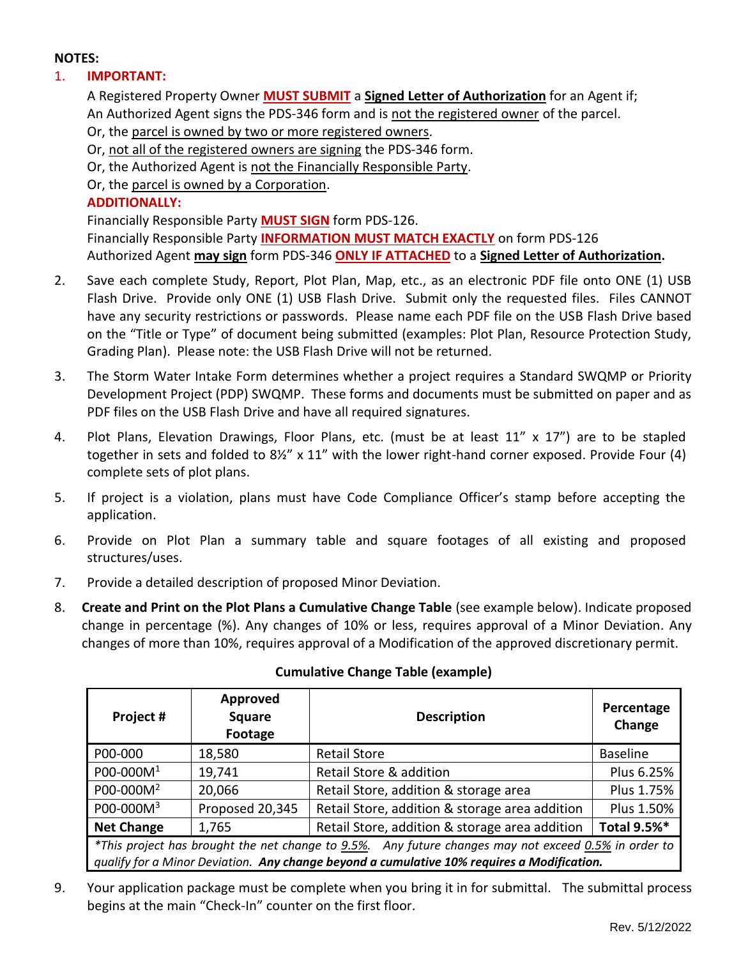### **NOTES:**

# 1. **IMPORTANT:**

A Registered Property Owner **MUST SUBMIT** a **Signed Letter of Authorization** for an Agent if; An Authorized Agent signs the PDS-346 form and is not the registered owner of the parcel. Or, the parcel is owned by two or more registered owners. Or, not all of the registered owners are signing the PDS-346 form. Or, the Authorized Agent is not the Financially Responsible Party. Or, the parcel is owned by a Corporation. **ADDITIONALLY:**  Financially Responsible Party **MUST SIGN** form PDS-126. Financially Responsible Party **INFORMATION MUST MATCH EXACTLY** on form PDS-126 Authorized Agent **may sign** form PDS-346 **ONLY IF ATTACHED** to a **Signed Letter of Authorization.**

- 2. Save each complete Study, Report, Plot Plan, Map, etc., as an electronic PDF file onto ONE (1) USB Flash Drive. Provide only ONE (1) USB Flash Drive. Submit only the requested files. Files CANNOT have any security restrictions or passwords. Please name each PDF file on the USB Flash Drive based on the "Title or Type" of document being submitted (examples: Plot Plan, Resource Protection Study, Grading Plan). Please note: the USB Flash Drive will not be returned.
- 3. The Storm Water Intake Form determines whether a project requires a Standard SWQMP or Priority Development Project (PDP) SWQMP. These forms and documents must be submitted on paper and as PDF files on the USB Flash Drive and have all required signatures.
- 4. Plot Plans, Elevation Drawings, Floor Plans, etc. (must be at least 11" x 17") are to be stapled together in sets and folded to 8½" x 11" with the lower right-hand corner exposed. Provide Four (4) complete sets of plot plans.
- 5. If project is a violation, plans must have Code Compliance Officer's stamp before accepting the application.
- 6. Provide on Plot Plan a summary table and square footages of all existing and proposed structures/uses.
- 7. Provide a detailed description of proposed Minor Deviation.
- 8. **Create and Print on the Plot Plans a Cumulative Change Table** (see example below). Indicate proposed change in percentage (%). Any changes of 10% or less, requires approval of a Minor Deviation. Any changes of more than 10%, requires approval of a Modification of the approved discretionary permit.

| Project #                                                                                            | Approved<br><b>Square</b><br>Footage | <b>Description</b>                             | Percentage<br>Change |  |
|------------------------------------------------------------------------------------------------------|--------------------------------------|------------------------------------------------|----------------------|--|
| P00-000                                                                                              | 18,580                               | <b>Retail Store</b>                            | <b>Baseline</b>      |  |
| P00-000M <sup>1</sup>                                                                                | 19,741                               | Retail Store & addition                        | Plus 6.25%           |  |
| P00-000M <sup>2</sup>                                                                                | 20,066                               | Retail Store, addition & storage area          | Plus 1.75%           |  |
| P00-000M <sup>3</sup>                                                                                | Proposed 20,345                      | Retail Store, addition & storage area addition | Plus 1.50%           |  |
| <b>Net Change</b>                                                                                    | 1,765                                | Retail Store, addition & storage area addition | Total 9.5%*          |  |
| *This project has brought the net change to 9.5%. Any future changes may not exceed 0.5% in order to |                                      |                                                |                      |  |
| qualify for a Minor Deviation. Any change beyond a cumulative 10% requires a Modification.           |                                      |                                                |                      |  |

# **Cumulative Change Table (example)**

9. Your application package must be complete when you bring it in for submittal. The submittal process begins at the main "Check-In" counter on the first floor.